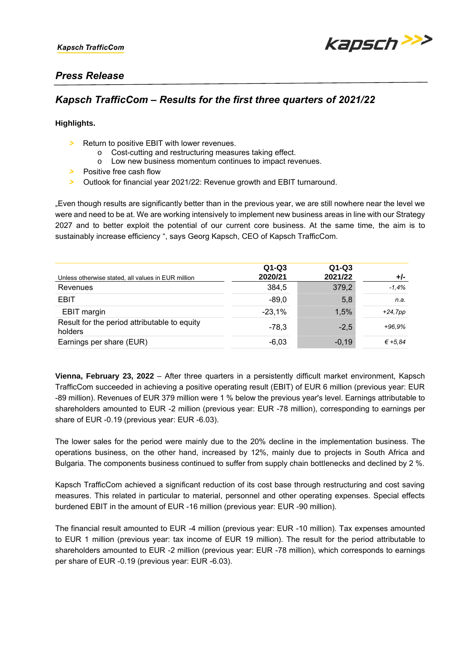

# *Press Release*

# *Kapsch TrafficCom – Results for the first three quarters of 2021/22*

## **Highlights.**

- *>* Return to positive EBIT with lower revenues.
	- Cost-cutting and restructuring measures taking effect.
	- o Low new business momentum continues to impact revenues.
- *>* Positive free cash flow
- *>* Outlook for financial year 2021/22: Revenue growth and EBIT turnaround.

"Even though results are significantly better than in the previous year, we are still nowhere near the level we were and need to be at. We are working intensively to implement new business areas in line with our Strategy 2027 and to better exploit the potential of our current core business. At the same time, the aim is to sustainably increase efficiency ", says Georg Kapsch, CEO of Kapsch TrafficCom.

| Unless otherwise stated, all values in EUR million      | $Q1-Q3$<br>2020/21 | $Q1-Q3$<br>2021/22 | +/-        |
|---------------------------------------------------------|--------------------|--------------------|------------|
| Revenues                                                | 384,5              | 379,2              | $-1,4%$    |
| EBIT                                                    | $-89.0$            | 5,8                | n.a.       |
| EBIT margin                                             | $-23,1%$           | 1,5%               | $+24, 7pp$ |
| Result for the period attributable to equity<br>holders | $-78.3$            | $-2.5$             | $+96.9%$   |
| Earnings per share (EUR)                                | $-6,03$            | $-0,19$            | € +5.84    |

**Vienna, February 23, 2022** – After three quarters in a persistently difficult market environment, Kapsch TrafficCom succeeded in achieving a positive operating result (EBIT) of EUR 6 million (previous year: EUR -89 million). Revenues of EUR 379 million were 1 % below the previous year's level. Earnings attributable to shareholders amounted to EUR -2 million (previous year: EUR -78 million), corresponding to earnings per share of EUR -0.19 (previous year: EUR -6.03).

The lower sales for the period were mainly due to the 20% decline in the implementation business. The operations business, on the other hand, increased by 12%, mainly due to projects in South Africa and Bulgaria. The components business continued to suffer from supply chain bottlenecks and declined by 2 %.

Kapsch TrafficCom achieved a significant reduction of its cost base through restructuring and cost saving measures. This related in particular to material, personnel and other operating expenses. Special effects burdened EBIT in the amount of EUR -16 million (previous year: EUR -90 million).

The financial result amounted to EUR -4 million (previous year: EUR -10 million). Tax expenses amounted to EUR 1 million (previous year: tax income of EUR 19 million). The result for the period attributable to shareholders amounted to EUR -2 million (previous year: EUR -78 million), which corresponds to earnings per share of EUR -0.19 (previous year: EUR -6.03).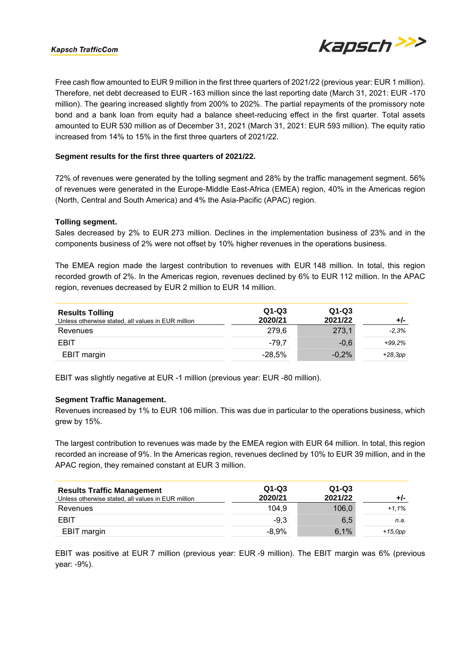### **Kapsch TrafficCom**



Free cash flow amounted to EUR 9 million in the first three quarters of 2021/22 (previous year: EUR 1 million). Therefore, net debt decreased to EUR -163 million since the last reporting date (March 31, 2021: EUR -170 million). The gearing increased slightly from 200% to 202%. The partial repayments of the promissory note bond and a bank loan from equity had a balance sheet-reducing effect in the first quarter. Total assets amounted to EUR 530 million as of December 31, 2021 (March 31, 2021: EUR 593 million). The equity ratio increased from 14% to 15% in the first three quarters of 2021/22.

### **Segment results for the first three quarters of 2021/22.**

72% of revenues were generated by the tolling segment and 28% by the traffic management segment. 56% of revenues were generated in the Europe-Middle East-Africa (EMEA) region, 40% in the Americas region (North, Central and South America) and 4% the Asia-Pacific (APAC) region.

#### **Tolling segment.**

Sales decreased by 2% to EUR 273 million. Declines in the implementation business of 23% and in the components business of 2% were not offset by 10% higher revenues in the operations business.

The EMEA region made the largest contribution to revenues with EUR 148 million. In total, this region recorded growth of 2%. In the Americas region, revenues declined by 6% to EUR 112 million. In the APAC region, revenues decreased by EUR 2 million to EUR 14 million.

| <b>Results Tolling</b><br>Unless otherwise stated, all values in EUR million | $Q1-Q3$<br>2020/21 | $Q1-Q3$<br>2021/22 | +/-       |
|------------------------------------------------------------------------------|--------------------|--------------------|-----------|
| Revenues                                                                     | 279.6              | 273,1              | $-2.3%$   |
| EBIT                                                                         | $-79.7$            | $-0.6$             | $+99.2%$  |
| EBIT margin                                                                  | $-28.5\%$          | $-0.2%$            | $+28,3pp$ |

EBIT was slightly negative at EUR -1 million (previous year: EUR -80 million).

### **Segment Traffic Management.**

Revenues increased by 1% to EUR 106 million. This was due in particular to the operations business, which grew by 15%.

The largest contribution to revenues was made by the EMEA region with EUR 64 million. In total, this region recorded an increase of 9%. In the Americas region, revenues declined by 10% to EUR 39 million, and in the APAC region, they remained constant at EUR 3 million.

| <b>Results Traffic Management</b><br>Unless otherwise stated, all values in EUR million | $Q1-Q3$<br>2020/21 | $Q1-Q3$<br>2021/22 | +/-       |
|-----------------------------------------------------------------------------------------|--------------------|--------------------|-----------|
| Revenues                                                                                | 104.9              | 106,0              | $+1.1%$   |
| EBIT                                                                                    | $-9.3$             | 6.5                | n.a.      |
| EBIT margin                                                                             | $-8.9%$            | 6,1%               | $+15,0pp$ |

EBIT was positive at EUR 7 million (previous year: EUR -9 million). The EBIT margin was 6% (previous year: -9%).